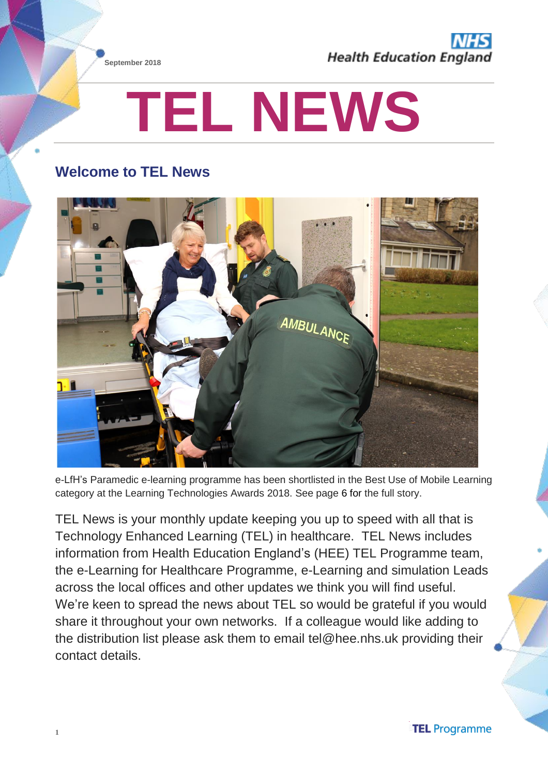



# **TEL NEWS**

# **Welcome to TEL News**



e-LfH's Paramedic e-learning programme has been shortlisted in the Best Use of Mobile Learning category at the Learning Technologies Awards 2018. See page 6 for the full story.

TEL News is your monthly update keeping you up to speed with all that is Technology Enhanced Learning (TEL) in healthcare. TEL News includes information from Health Education England's (HEE) TEL Programme team, the e-Learning for Healthcare Programme, e-Learning and simulation Leads across the local offices and other updates we think you will find useful. We're keen to spread the news about TEL so would be grateful if you would share it throughout your own networks. If a colleague would like adding to the distribution list please ask them to email tel@hee.nhs.uk providing their contact details.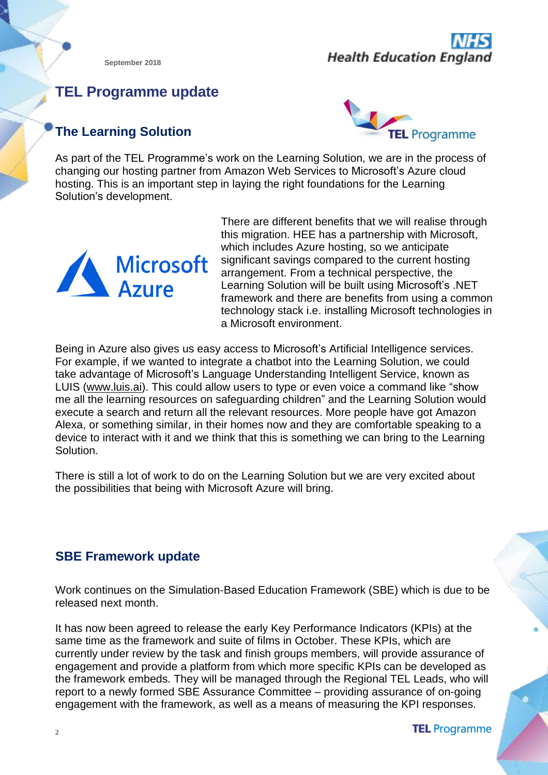

# **TEL Programme update**

# **The Learning Solution**



As part of the TEL Programme's work on the Learning Solution, we are in the process of changing our hosting partner from Amazon Web Services to Microsoft's Azure cloud hosting. This is an important step in laying the right foundations for the Learning Solution's development.



There are different benefits that we will realise through this migration. HEE has a partnership with Microsoft, which includes Azure hosting, so we anticipate significant savings compared to the current hosting arrangement. From a technical perspective, the Learning Solution will be built using Microsoft's .NET framework and there are benefits from using a common technology stack i.e. installing Microsoft technologies in a Microsoft environment.

Being in Azure also gives us easy access to Microsoft's Artificial Intelligence services. For example, if we wanted to integrate a chatbot into the Learning Solution, we could take advantage of Microsoft's Language Understanding Intelligent Service, known as LUIS [\(www.luis.ai\)](http://www.luis.ai/). This could allow users to type or even voice a command like "show me all the learning resources on safeguarding children" and the Learning Solution would execute a search and return all the relevant resources. More people have got Amazon Alexa, or something similar, in their homes now and they are comfortable speaking to a device to interact with it and we think that this is something we can bring to the Learning Solution.

There is still a lot of work to do on the Learning Solution but we are very excited about the possibilities that being with Microsoft Azure will bring.

#### **SBE Framework update**

Work continues on the Simulation-Based Education Framework (SBE) which is due to be released next month.

It has now been agreed to release the early Key Performance Indicators (KPIs) at the same time as the framework and suite of films in October. These KPIs, which are currently under review by the task and finish groups members, will provide assurance of engagement and provide a platform from which more specific KPIs can be developed as the framework embeds. They will be managed through the Regional TEL Leads, who will report to a newly formed SBE Assurance Committee – providing assurance of on-going engagement with the framework, as well as a means of measuring the KPI responses.

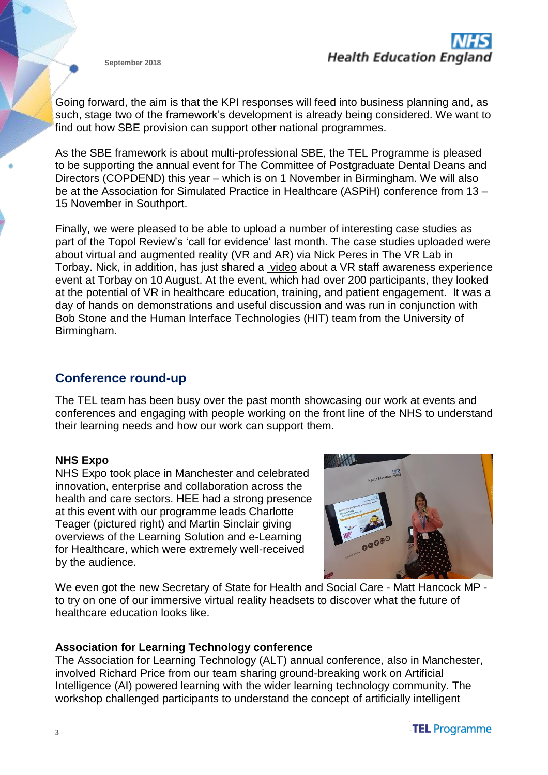Going forward, the aim is that the KPI responses will feed into business planning and, as such, stage two of the framework's development is already being considered. We want to find out how SBE provision can support other national programmes.

As the SBE framework is about multi-professional SBE, the TEL Programme is pleased to be supporting the annual event for The Committee of Postgraduate Dental Deans and Directors (COPDEND) this year – which is on 1 November in Birmingham. We will also be at the Association for Simulated Practice in Healthcare (ASPiH) conference from 13 – 15 November in Southport.

Finally, we were pleased to be able to upload a number of interesting case studies as part of the Topol Review's 'call for evidence' last month. The case studies uploaded were about virtual and augmented reality (VR and AR) via Nick Peres in The VR Lab in Torbay. Nick, in addition, has just shared a [video](https://www.youtube.com/watch?v=WJyZ8bvlNxQ) about a VR staff awareness experience event at Torbay on 10 August. At the event, which had over 200 participants, they looked at the potential of VR in healthcare education, training, and patient engagement. It was a day of hands on demonstrations and useful discussion and was run in conjunction with Bob Stone and the Human Interface Technologies (HIT) team from the University of Birmingham.

#### **Conference round-up**

The TEL team has been busy over the past month showcasing our work at events and conferences and engaging with people working on the front line of the NHS to understand their learning needs and how our work can support them.

#### **NHS Expo**

NHS Expo took place in Manchester and celebrated innovation, enterprise and collaboration across the health and care sectors. HEE had a strong presence at this event with our programme leads Charlotte Teager (pictured right) and Martin Sinclair giving overviews of the Learning Solution and e-Learning for Healthcare, which were extremely well-received by the audience.



We even got the new Secretary of State for Health and Social Care - Matt Hancock MP to try on one of our immersive virtual reality headsets to discover what the future of healthcare education looks like.

#### **Association for Learning Technology conference**

The Association for Learning Technology (ALT) annual conference, also in Manchester, involved Richard Price from our team sharing ground-breaking work on Artificial Intelligence (AI) powered learning with the wider learning technology community. The workshop challenged participants to understand the concept of artificially intelligent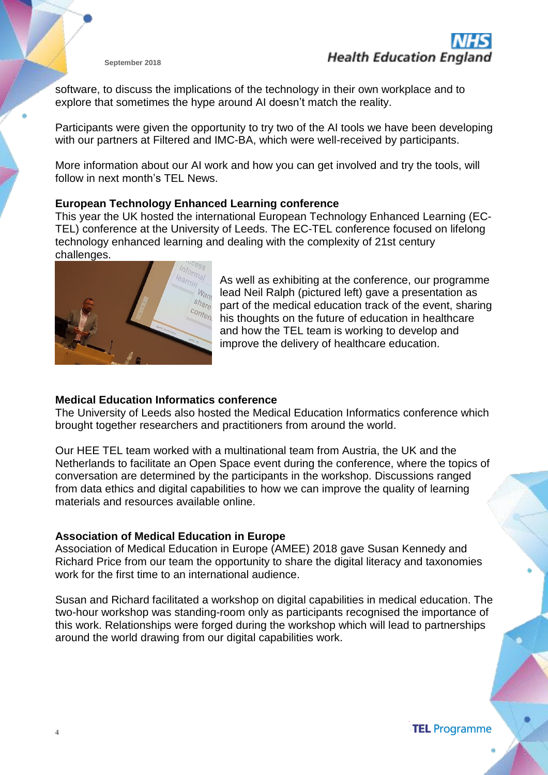software, to discuss the implications of the technology in their own workplace and to explore that sometimes the hype around AI doesn't match the reality.

Participants were given the opportunity to try two of the AI tools we have been developing with our partners at Filtered and IMC-BA, which were well-received by participants.

More information about our AI work and how you can get involved and try the tools, will follow in next month's TEL News.

#### **European Technology Enhanced Learning conference**

This year the UK hosted the international European Technology Enhanced Learning (EC-TEL) conference at the University of Leeds. The EC-TEL conference focused on lifelong technology enhanced learning and dealing with the complexity of 21st century challenges.



As well as exhibiting at the conference, our programme lead Neil Ralph (pictured left) gave a presentation as part of the medical education track of the event, sharing his thoughts on the future of education in healthcare and how the TEL team is working to develop and improve the delivery of healthcare education.

#### **Medical Education Informatics conference**

The University of Leeds also hosted the Medical Education Informatics conference which brought together researchers and practitioners from around the world.

Our HEE TEL team worked with a multinational team from Austria, the UK and the Netherlands to facilitate an Open Space event during the conference, where the topics of conversation are determined by the participants in the workshop. Discussions ranged from data ethics and digital capabilities to how we can improve the quality of learning materials and resources available online.

#### **Association of Medical Education in Europe**

Association of Medical Education in Europe (AMEE) 2018 gave Susan Kennedy and Richard Price from our team the opportunity to share the digital literacy and taxonomies work for the first time to an international audience.

Susan and Richard facilitated a workshop on digital capabilities in medical education. The two-hour workshop was standing-room only as participants recognised the importance of this work. Relationships were forged during the workshop which will lead to partnerships around the world drawing from our digital capabilities work.

**TEL** Programme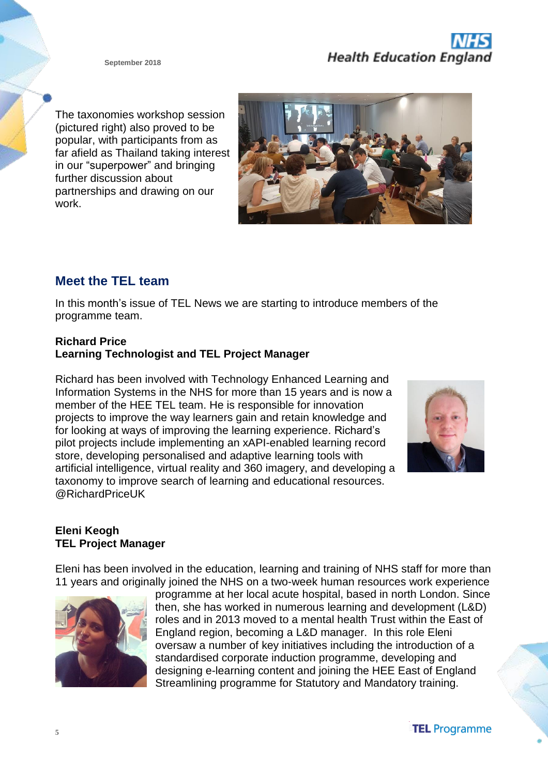The taxonomies workshop session (pictured right) also proved to be popular, with participants from as far afield as Thailand taking interest in our "superpower" and bringing further discussion about partnerships and drawing on our work.



# **Meet the TEL team**

In this month's issue of TEL News we are starting to introduce members of the programme team.

#### **Richard Price Learning Technologist and TEL Project Manager**

Richard has been involved with Technology Enhanced Learning and Information Systems in the NHS for more than 15 years and is now a member of the HEE TEL team. He is responsible for innovation projects to improve the way learners gain and retain knowledge and for looking at ways of improving the learning experience. Richard's pilot projects include implementing an xAPI-enabled learning record store, developing personalised and adaptive learning tools with artificial intelligence, virtual reality and 360 imagery, and developing a taxonomy to improve search of learning and educational resources. @RichardPriceUK



#### **Eleni Keogh TEL Project Manager**

Eleni has been involved in the education, learning and training of NHS staff for more than 11 years and originally joined the NHS on a two-week human resources work experience



programme at her local acute hospital, based in north London. Since then, she has worked in numerous learning and development (L&D) roles and in 2013 moved to a mental health Trust within the East of England region, becoming a L&D manager. In this role Eleni oversaw a number of key initiatives including the introduction of a standardised corporate induction programme, developing and designing e-learning content and joining the HEE East of England Streamlining programme for Statutory and Mandatory training.

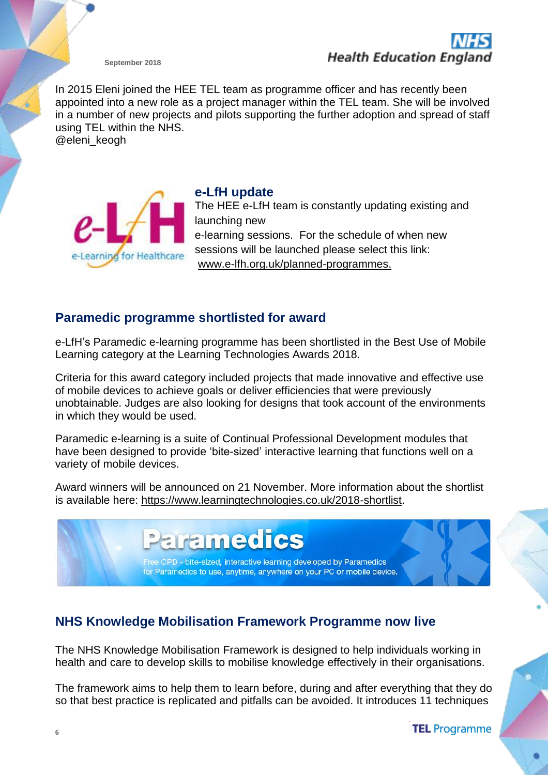

In 2015 Eleni joined the HEE TEL team as programme officer and has recently been appointed into a new role as a project manager within the TEL team. She will be involved in a number of new projects and pilots supporting the further adoption and spread of staff using TEL within the NHS.

@eleni\_keogh



**e-LfH update** The HEE e-LfH team is constantly updating existing and launching new e-learning sessions. For the schedule of when new sessions will be launched please select this link: [www.e-lfh.org.uk/planned-programmes.](http://www.e-lfh.org.uk/planned-programmes)

#### **Paramedic programme shortlisted for award**

e-LfH's Paramedic e-learning programme has been shortlisted in the Best Use of Mobile Learning category at the Learning Technologies Awards 2018.

Criteria for this award category included projects that made innovative and effective use of mobile devices to achieve goals or deliver efficiencies that were previously unobtainable. Judges are also looking for designs that took account of the environments in which they would be used.

Paramedic e-learning is a suite of Continual Professional Development modules that have been designed to provide 'bite-sized' interactive learning that functions well on a variety of mobile devices.

Award winners will be announced on 21 November. More information about the shortlist is available here: [https://www.learningtechnologies.co.uk/2018-shortlist.](https://www.learningtechnologies.co.uk/2018-shortlist)

# **ramedics** e CPD - bite-sized, interactive learning developed by Paramedics for Paramedics to use, anytime, anywhere on your PC or mobile device.

# **NHS Knowledge Mobilisation Framework Programme now live**

The NHS Knowledge Mobilisation Framework is designed to help individuals working in health and care to develop skills to mobilise knowledge effectively in their organisations.

The framework aims to help them to learn before, during and after everything that they do so that best practice is replicated and pitfalls can be avoided. It introduces 11 techniques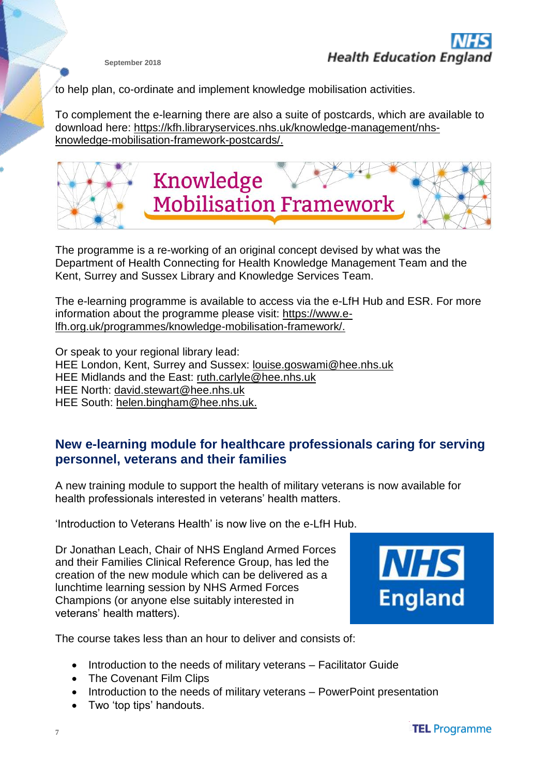to help plan, co-ordinate and implement knowledge mobilisation activities.

To complement the e-learning there are also a suite of postcards, which are available to download here: [https://kfh.libraryservices.nhs.uk/knowledge-management/nhs](https://kfh.libraryservices.nhs.uk/knowledge-management/nhs-knowledge-mobilisation-framework-postcards/)[knowledge-mobilisation-framework-postcards/.](https://kfh.libraryservices.nhs.uk/knowledge-management/nhs-knowledge-mobilisation-framework-postcards/)



The programme is a re-working of an original concept devised by what was the Department of Health Connecting for Health Knowledge Management Team and the Kent, Surrey and Sussex Library and Knowledge Services Team.

The e-learning programme is available to access via the e-LfH Hub and ESR. For more information about the programme please visit: [https://www.e](https://www.e-lfh.org.uk/programmes/knowledge-mobilisation-framework/)[lfh.org.uk/programmes/knowledge-mobilisation-framework/.](https://www.e-lfh.org.uk/programmes/knowledge-mobilisation-framework/)

Or speak to your regional library lead: HEE London, Kent, Surrey and Sussex: [louise.goswami@hee.nhs.uk](mailto:louise.goswami@hee.nhs.uk) HEE Midlands and the East: [ruth.carlyle@hee.nhs.uk](mailto:ruth.carlyle@hee.nhs.uk) HEE North: [david.stewart@hee.nhs.uk](mailto:david.stewart@hee.nhs.uk) HEE South: [helen.bingham@hee.nhs.uk.](mailto:helen.bingham@hee.nhs.uk)

#### **New e-learning module for healthcare professionals caring for serving personnel, veterans and their families**

A new training module to support the health of military veterans is now available for health professionals interested in veterans' health matters.

'Introduction to Veterans Health' is now live on the e-LfH Hub.

Dr Jonathan Leach, Chair of NHS England Armed Forces and their Families Clinical Reference Group, has led the creation of the new module which can be delivered as a lunchtime learning session by NHS Armed Forces Champions (or anyone else suitably interested in veterans' health matters).



The course takes less than an hour to deliver and consists of:

- Introduction to the needs of military veterans Facilitator Guide
- The Covenant Film Clips
- Introduction to the needs of military veterans PowerPoint presentation
- Two 'top tips' handouts.

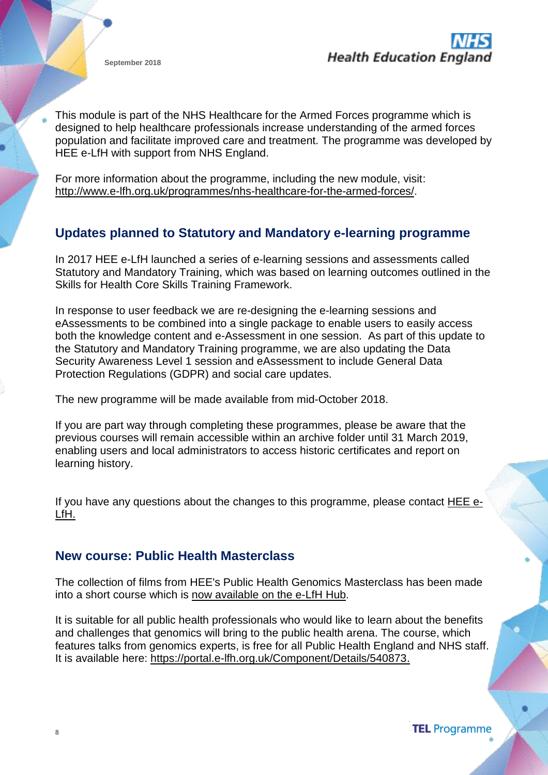

This module is part of the NHS Healthcare for the Armed Forces programme which is designed to help healthcare professionals increase understanding of the armed forces population and facilitate improved care and treatment. The programme was developed by HEE e-LfH with support from NHS England.

For more information about the programme, including the new module, visit: [http://www.e-lfh.org.uk/programmes/nhs-healthcare-for-the-armed-forces/.](http://www.e-lfh.org.uk/programmes/nhs-healthcare-for-the-armed-forces/)

#### **Updates planned to Statutory and Mandatory e-learning programme**

In 2017 HEE e-LfH launched a series of e-learning sessions and assessments called Statutory and Mandatory Training, which was based on learning outcomes outlined in the Skills for Health Core Skills Training Framework.

In response to user feedback we are re-designing the e-learning sessions and eAssessments to be combined into a single package to enable users to easily access both the knowledge content and e-Assessment in one session. As part of this update to the Statutory and Mandatory Training programme, we are also updating the Data Security Awareness Level 1 session and eAssessment to include General Data Protection Regulations (GDPR) and social care updates.

The new programme will be made available from mid-October 2018.

If you are part way through completing these programmes, please be aware that the previous courses will remain accessible within an archive folder until 31 March 2019, enabling users and local administrators to access historic certificates and report on learning history.

If you have any questions about the changes to this programme, please contact [HEE](http://millennium.kayako.com/ES/Tickets/Submit/) e-[LfH.](http://millennium.kayako.com/ES/Tickets/Submit/)

#### **New course: Public Health Masterclass**

The collection of films from HEE's Public Health Genomics Masterclass has been made into a short course which is now [available](http://news.hee.nhs.uk/_act/link.php?mId=AT82824442581042823833806312811&tId=250954012) on the e-LfH Hub.

It is suitable for all public health professionals who would like to learn about the benefits and challenges that genomics will bring to the public health arena. The course, which features talks from genomics experts, is free for all Public Health England and NHS staff. It is available here: [https://portal.e-lfh.org.uk/Component/Details/540873.](https://portal.e-lfh.org.uk/Component/Details/540873)

**TEL** Programme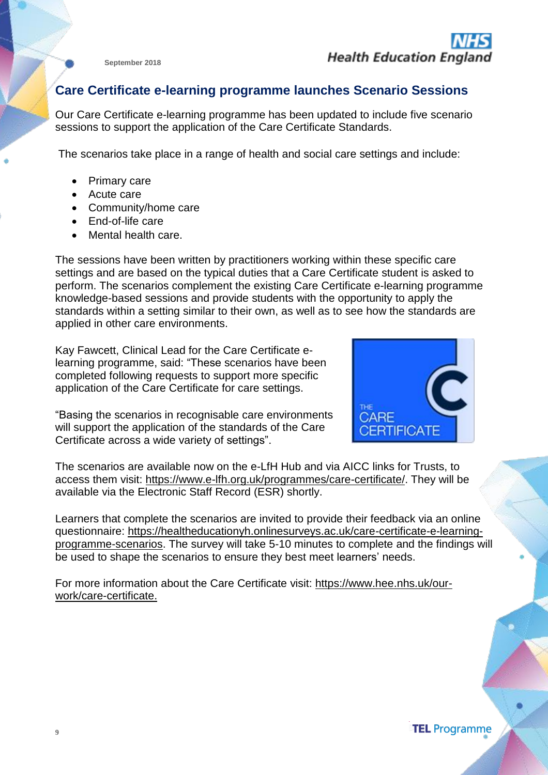#### **Care Certificate e-learning programme launches Scenario Sessions**

Our Care Certificate e-learning programme has been updated to include five scenario sessions to support the application of the Care Certificate Standards.

The scenarios take place in a range of health and social care settings and include:

- Primary care
- Acute care
- Community/home care
- End-of-life care
- Mental health care.

The sessions have been written by practitioners working within these specific care settings and are based on the typical duties that a Care Certificate student is asked to perform. The scenarios complement the existing Care Certificate e-learning programme knowledge-based sessions and provide students with the opportunity to apply the standards within a setting similar to their own, as well as to see how the standards are applied in other care environments.

Kay Fawcett, Clinical Lead for the Care Certificate elearning programme, said: "These scenarios have been completed following requests to support more specific application of the Care Certificate for care settings.



"Basing the scenarios in recognisable care environments will support the application of the standards of the Care Certificate across a wide variety of settings".

The scenarios are available now on the e-LfH Hub and via AICC links for Trusts, to access them visit: [https://www.e-lfh.org.uk/programmes/care-certificate/.](https://www.e-lfh.org.uk/programmes/care-certificate/) They will be available via the Electronic Staff Record (ESR) shortly.

Learners that complete the scenarios are invited to provide their feedback via an online questionnaire: [https://healtheducationyh.onlinesurveys.ac.uk/care-certificate-e-learning](https://healtheducationyh.onlinesurveys.ac.uk/care-certificate-e-learning-programme-scenarios)[programme-scenarios.](https://healtheducationyh.onlinesurveys.ac.uk/care-certificate-e-learning-programme-scenarios) The survey will take 5-10 minutes to complete and the findings will be used to shape the scenarios to ensure they best meet learners' needs.

For more information about the Care Certificate visit: [https://www.hee.nhs.uk/our](https://www.hee.nhs.uk/our-work/care-certificate)[work/care-certificate.](https://www.hee.nhs.uk/our-work/care-certificate)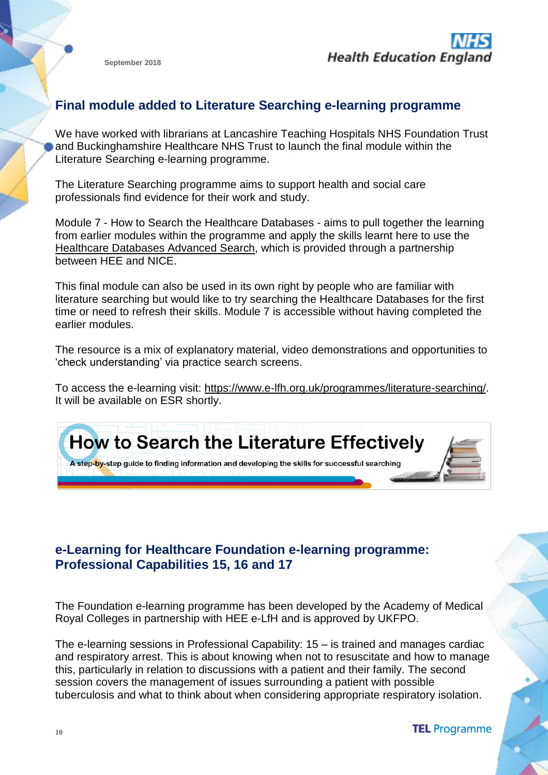### **Final module added to Literature Searching e-learning programme**

We have worked with librarians at Lancashire Teaching Hospitals NHS Foundation Trust and Buckinghamshire Healthcare NHS Trust to launch the final module within the Literature Searching e-learning programme.

The Literature Searching programme aims to support health and social care professionals find evidence for their work and study.

Module 7 - How to Search the Healthcare Databases - aims to pull together the learning from earlier modules within the programme and apply the skills learnt here to use the [Healthcare](https://hdas.nice.org.uk/) Databases Advanced Search, which is provided through a partnership between HEE and NICE.

This final module can also be used in its own right by people who are familiar with literature searching but would like to try searching the Healthcare Databases for the first time or need to refresh their skills. Module 7 is accessible without having completed the earlier modules.

The resource is a mix of explanatory material, video demonstrations and opportunities to 'check understanding' via practice search screens.

To access the e-learning visit: [https://www.e-lfh.org.uk/programmes/literature-searching/.](https://www.e-lfh.org.uk/programmes/literature-searching/) It will be available on ESR shortly.



# **e-Learning for Healthcare Foundation e-learning programme: Professional Capabilities 15, 16 and 17**

The Foundation e-learning programme has been developed by the Academy of Medical Royal Colleges in partnership with HEE e-LfH and is approved by UKFPO.

The e-learning sessions in Professional Capability: 15 – is trained and manages cardiac and respiratory arrest. This is about knowing when not to resuscitate and how to manage this, particularly in relation to discussions with a patient and their family. The second session covers the management of issues surrounding a patient with possible tuberculosis and what to think about when considering appropriate respiratory isolation.

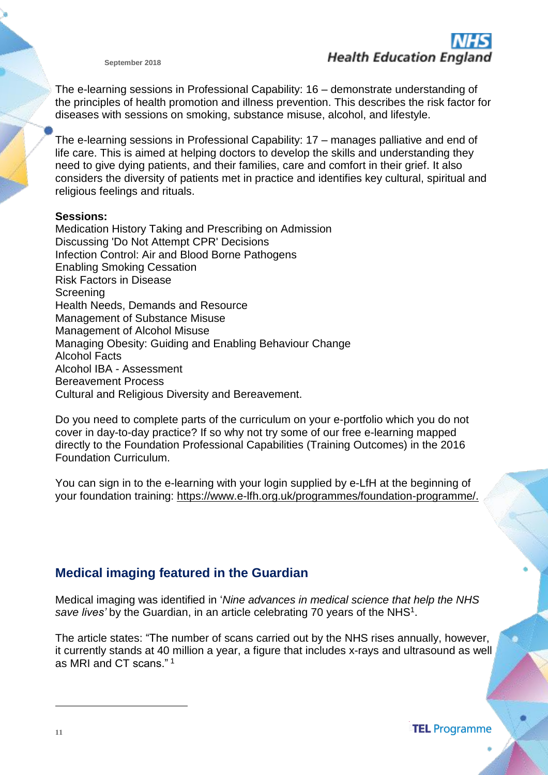The e-learning sessions in Professional Capability: 16 – demonstrate understanding of the principles of health promotion and illness prevention. This describes the risk factor for diseases with sessions on smoking, substance misuse, alcohol, and lifestyle.

The e-learning sessions in Professional Capability: 17 – manages palliative and end of life care. This is aimed at helping doctors to develop the skills and understanding they need to give dying patients, and their families, care and comfort in their grief. It also considers the diversity of patients met in practice and identifies key cultural, spiritual and religious feelings and rituals.

#### **Sessions:**

Medication History Taking and Prescribing on Admission Discussing 'Do Not Attempt CPR' Decisions Infection Control: Air and Blood Borne Pathogens Enabling Smoking Cessation Risk Factors in Disease **Screening** Health Needs, Demands and Resource Management of Substance Misuse Management of Alcohol Misuse Managing Obesity: Guiding and Enabling Behaviour Change Alcohol Facts Alcohol IBA - Assessment Bereavement Process Cultural and Religious Diversity and Bereavement.

Do you need to complete parts of the curriculum on your e-portfolio which you do not cover in day-to-day practice? If so why not try some of our free e-learning mapped directly to the Foundation Professional Capabilities (Training Outcomes) in the 2016 Foundation Curriculum.

You can sign in to the e-learning with your login supplied by e-LfH at the beginning of your foundation training: [https://www.e-lfh.org.uk/programmes/foundation-programme/.](https://www.e-lfh.org.uk/programmes/foundation-programme/)

#### **Medical imaging featured in the Guardian**

Medical imaging was identified in '*Nine advances in medical science that help the NHS* save lives' by the Guardian, in an article celebrating 70 years of the NHS<sup>1</sup>.

The article states: "The number of scans carried out by the NHS rises annually, however, it currently stands at 40 million a year, a figure that includes x-rays and ultrasound as well as MRI and CT scans." <sup>1</sup>

**TEL** Programme

 $\overline{a}$